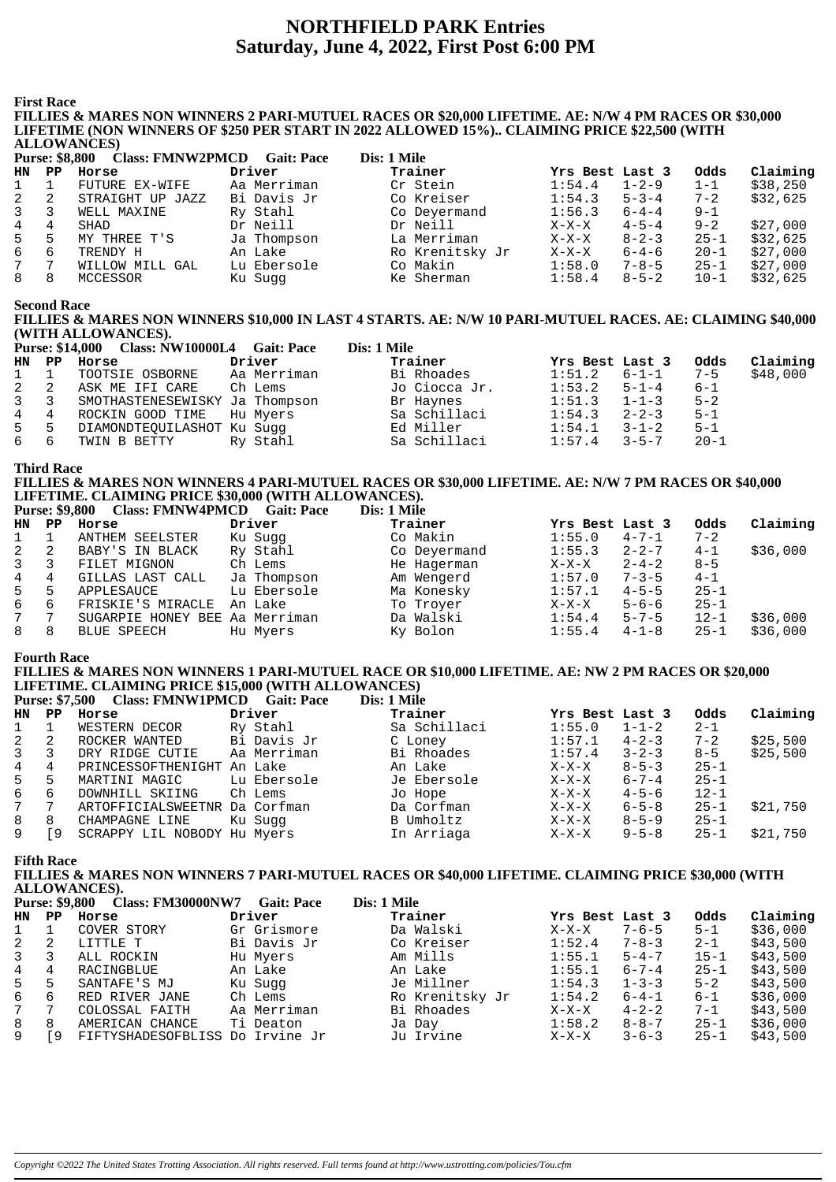# **NORTHFIELD PARK Entries Saturday, June 4, 2022, First Post 6:00 PM**

**First Race**

#### **FILLIES & MARES NON WINNERS 2 PARI-MUTUEL RACES OR \$20,000 LIFETIME. AE: N/W 4 PM RACES OR \$30,000 LIFETIME (NON WINNERS OF \$250 PER START IN 2022 ALLOWED 15%).. CLAIMING PRICE \$22,500 (WITH ALLOWANCES)**

|              |                       | <u>INDO MATELIA</u>     |                   |                 |                 |             |          |          |
|--------------|-----------------------|-------------------------|-------------------|-----------------|-----------------|-------------|----------|----------|
|              | <b>Purse: \$8,800</b> | <b>Class: FMNW2PMCD</b> | <b>Gait: Pace</b> | Dis: 1 Mile     |                 |             |          |          |
| HN           | PP.                   | Horse                   | Driver            | Trainer         | Yrs Best Last 3 |             | Odds     | Claiming |
| $\mathbf{1}$ |                       | FUTURE EX-WIFE          | Aa Merriman       | Cr Stein        | 1:54.4          | $1 - 2 - 9$ | $1 - 1$  | \$38,250 |
| 2            |                       | STRAIGHT UP JAZZ        | Bi Davis Jr       | Co Kreiser      | 1:54.3          | $5 - 3 - 4$ | $7 - 2$  | \$32,625 |
| $\mathbf{3}$ |                       | WELL MAXINE             | Ry Stahl          | Co Deyermand    | 1:56.3          | $6 - 4 - 4$ | $9 - 1$  |          |
| 4            | 4                     | SHAD                    | Dr Neill          | Dr Neill        | $X-X-X$         | $4 - 5 - 4$ | $9 - 2$  | \$27,000 |
| 5            | 5                     | MY THREE T'S            | Ja Thompson       | La Merriman     | $X-X-X$         | $8 - 2 - 3$ | $25 - 1$ | \$32,625 |
| 6            | 6                     | TRENDY H                | An Lake           | Ro Krenitsky Jr | $X-X-X$         | $6 - 4 - 6$ | $20 - 1$ | \$27,000 |
| 7            |                       | WILLOW MILL GAL         | Lu Ebersole       | Co Makin        | 1:58.0          | $7 - 8 - 5$ | $25 - 1$ | \$27,000 |
| 8            | 8                     | MCCESSOR                | Ku Sugg           | Ke Sherman      | 1:58.4          | $8 - 5 - 2$ | $10 - 1$ | \$32,625 |
|              |                       |                         |                   |                 |                 |             |          |          |

**Second Race**

## **FILLIES & MARES NON WINNERS \$10,000 IN LAST 4 STARTS. AE: N/W 10 PARI-MUTUEL RACES. AE: CLAIMING \$40,000 (WITH ALLOWANCES).**

|       |                | Purse: \$14,000 Class: NW10000L4 Gait: Pace |             | Dis: 1 Mile   |                 |             |          |          |
|-------|----------------|---------------------------------------------|-------------|---------------|-----------------|-------------|----------|----------|
| HN PP |                | Horse                                       | Driver      | Trainer       | Yrs Best Last 3 |             | Odds     | Claiming |
| 1     |                | TOOTSIE OSBORNE                             | Aa Merriman | Bi Rhoades    | 1:51.2          | $6 - 1 - 1$ | $7 - 5$  | \$48,000 |
| 2     | $\overline{2}$ | ASK ME IFI CARE                             | Ch Lems     | Jo Ciocca Jr. | 1:53.2          | $5 - 1 - 4$ | $6 - 1$  |          |
|       |                | 3 3 SMOTHASTENESEWISKY Ja Thompson          |             | Br Haynes     | 1:51.3          | $1 - 1 - 3$ | $5 - 2$  |          |
| 4 4   |                | ROCKIN GOOD TIME                            | Hu Myers    | Sa Schillaci  | 1:54.3          | $2 - 2 - 3$ | $5 - 1$  |          |
| 5 5   |                | DIAMONDTEOUILASHOT Ku Suqq                  |             | Ed Miller     | 1:54.1          | $3 - 1 - 2$ | $5 - 1$  |          |
| 66    |                | TWIN B BETTY                                | Ry Stahl    | Sa Schillaci  | 1:57.4          | $3 - 5 - 7$ | $20 - 1$ |          |

**Third Race**

**FILLIES & MARES NON WINNERS 4 PARI-MUTUEL RACES OR \$30,000 LIFETIME. AE: N/W 7 PM RACES OR \$40,000 LIFETIME. CLAIMING PRICE \$30,000 (WITH ALLOWANCES). Purse: \$9,800 Class: FMNW4PMCD Cait: Pace** 

|                | 1 ULSC. 97,000 | Class. FILITY TI IVICD Gall. I acc |             | різ. І ічше  |                 |             |          |          |
|----------------|----------------|------------------------------------|-------------|--------------|-----------------|-------------|----------|----------|
| HN             | PP             | Horse                              | Driver      | Trainer      | Yrs Best Last 3 |             | Odds     | Claiming |
|                |                | ANTHEM SEELSTER                    | Ku Sugg     | Co Makin     | 1:55.0          | $4 - 7 - 1$ | $7 - 2$  |          |
| 2              | -2             | BABY'S IN BLACK                    | Ry Stahl    | Co Deyermand | 1:55.3          | $2 - 2 - 7$ | $4 - 1$  | \$36,000 |
| $\mathbf{3}$   |                | FILET MIGNON                       | Ch Lems     | He Hagerman  | $X-X-X$         | $2 - 4 - 2$ | $8 - 5$  |          |
| $\overline{4}$ | 4              | GILLAS LAST CALL                   | Ja Thompson | Am Wengerd   | 1:57.0          | $7 - 3 - 5$ | $4 - 1$  |          |
| 5              | 5              | APPLESAUCE                         | Lu Ebersole | Ma Konesky   | 1:57.1          | $4 - 5 - 5$ | $25 - 1$ |          |
| 6              | 6              | FRISKIE'S MIRACLE                  | An Lake     | To Troyer    | X-X-X           | $5 - 6 - 6$ | $25 - 1$ |          |
|                |                | SUGARPIE HONEY BEE Aa Merriman     |             | Da Walski    | 1:54.4          | $5 - 7 - 5$ | $12 - 1$ | \$36,000 |

8 8 BLUE SPEECH Hu Myers Ky Bolon 1:55.4 4-1-8 25-1 \$36,000

### **Fourth Race**

#### **FILLIES & MARES NON WINNERS 1 PARI-MUTUEL RACE OR \$10,000 LIFETIME. AE: NW 2 PM RACES OR \$20,000 LIFETIME. CLAIMING PRICE \$15,000 (WITH ALLOWANCES) Purse: \$7.500 Class: FMNW1PMCD Gait: Pace**

|                | $\blacksquare$ | Class: FIVIIV W LE MCD Gall: Face |             | DIS, I VIIIE |                 |             |          |          |
|----------------|----------------|-----------------------------------|-------------|--------------|-----------------|-------------|----------|----------|
| HN             | PP.            | Horse                             | Driver      | Trainer      | Yrs Best Last 3 |             | Odds     | Claiming |
|                |                | WESTERN DECOR                     | Ry Stahl    | Sa Schillaci | 1:55.0          | $1 - 1 - 2$ | $2 - 1$  |          |
| 2              |                | ROCKER WANTED                     | Bi Davis Jr | C Loney      | 1:57.1          | $4 - 2 - 3$ | $7 - 2$  | \$25,500 |
| $\overline{3}$ |                | DRY RIDGE CUTIE                   | Aa Merriman | Bi Rhoades   | 1:57.4          | $3 - 2 - 3$ | $8 - 5$  | \$25,500 |
| 4              | 4              | PRINCESSOFTHENIGHT An Lake        |             | An Lake      | $X-X-X$         | $8 - 5 - 3$ | $25 - 1$ |          |
| 5              | 5              | MARTINI MAGIC                     | Lu Ebersole | Je Ebersole  | $X-X-X$         | $6 - 7 - 4$ | $25 - 1$ |          |
| 6              | h              | DOWNHILL SKIING                   | Ch Lems     | Jo Hope      | $X-X-X$         | $4 - 5 - 6$ | $12 - 1$ |          |
| $7\degree$     |                | ARTOFFICIALSWEETNR Da Corfman     |             | Da Corfman   | $X-X-X$         | $6 - 5 - 8$ | $25 - 1$ | \$21,750 |
| 8              | 8              | CHAMPAGNE LINE                    | Ku Sugg     | B Umholtz    | $X-X-X$         | $8 - 5 - 9$ | $25 - 1$ |          |
| 9              | -9             | SCRAPPY LIL NOBODY Hu Myers       |             | In Arriaga   | $X-X-X$         | $9 - 5 - 8$ | $25 - 1$ | \$21,750 |
|                |                |                                   |             |              |                 |             |          |          |

**Fifth Race**

**FILLIES & MARES NON WINNERS 7 PARI-MUTUEL RACES OR \$40,000 LIFETIME. CLAIMING PRICE \$30,000 (WITH ALLOWANCES).**

|                | <b>Purse: \$9,800</b> | <b>Class: FM30000NW7</b>        | <b>Gait: Pace</b> | Dis: 1 Mile |                 |                 |             |          |          |
|----------------|-----------------------|---------------------------------|-------------------|-------------|-----------------|-----------------|-------------|----------|----------|
| HN             | $_{\rm PP}$           | Horse                           | Driver            |             | Trainer         | Yrs Best Last 3 |             | Odds     | Claiming |
|                |                       | COVER STORY                     | Gr Grismore       |             | Da Walski       | $X-X-X$         | $7 - 6 - 5$ | $5 - 1$  | \$36,000 |
| 2              |                       | LITTLE T                        | Bi Davis Jr       |             | Co Kreiser      | 1:52.4          | $7 - 8 - 3$ | $2 - 1$  | \$43,500 |
| $3^{\circ}$    |                       | ALL ROCKIN                      | Hu Myers          |             | Am Mills        | 1:55.1          | $5 - 4 - 7$ | $15 - 1$ | \$43,500 |
| 4              | 4                     | RACINGBLUE                      | An Lake           |             | An Lake         | 1:55.1          | $6 - 7 - 4$ | $25 - 1$ | \$43,500 |
| 5 <sub>1</sub> | 5                     | SANTAFE'S MJ                    | Ku Sugg           |             | Je Millner      | 1:54.3          | $1 - 3 - 3$ | $5 - 2$  | \$43,500 |
| 6              | 6                     | RED RIVER JANE                  | Ch Lems           |             | Ro Krenitsky Jr | 1:54.2          | $6 - 4 - 1$ | $6 - 1$  | \$36,000 |
| $7^{\circ}$    |                       | COLOSSAL FAITH                  | Aa Merriman       |             | Bi Rhoades      | $X-X-X$         | $4 - 2 - 2$ | $7 - 1$  | \$43,500 |
| 8              | 8                     | AMERICAN CHANCE                 | Ti Deaton         |             | Ja Day          | 1:58.2          | $8 - 8 - 7$ | $25 - 1$ | \$36,000 |
| 9              | -9                    | FIFTYSHADESOFBLISS Do Irvine Jr |                   |             | Ju Irvine       | $X-X-X$         | $3 - 6 - 3$ | $25 - 1$ | \$43,500 |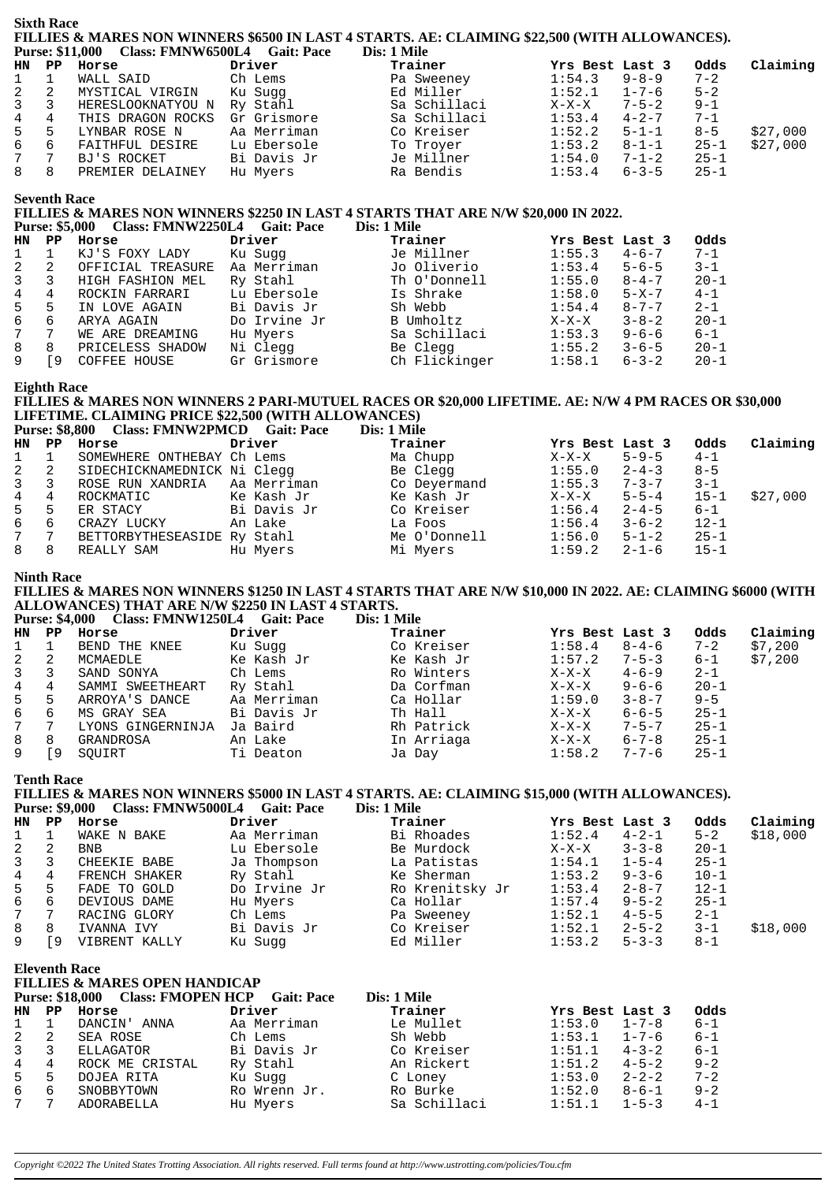| <b>HN</b><br>1<br>2<br>3<br>$\,4$<br>5<br>б<br>$\boldsymbol{7}$<br>8 | $\mathbf{P} \mathbf{P}$<br>$\mathbf{1}$<br>2<br>3 | <b>Purse: \$11,000</b><br>Horse<br>WALL SAID                                                     | Class: FMNW6500L4 Gait: Pace | Dis: 1 Mile                                                                                                  |                    |                            |                      |                      |
|----------------------------------------------------------------------|---------------------------------------------------|--------------------------------------------------------------------------------------------------|------------------------------|--------------------------------------------------------------------------------------------------------------|--------------------|----------------------------|----------------------|----------------------|
|                                                                      |                                                   |                                                                                                  |                              | Trainer                                                                                                      | Yrs Best Last 3    |                            | 0dds                 | Claiming             |
|                                                                      |                                                   |                                                                                                  | Driver<br>Ch Lems            | Pa Sweeney                                                                                                   | 1:54.3             | $9 - 8 - 9$                | $7 - 2$              |                      |
|                                                                      |                                                   | MYSTICAL VIRGIN                                                                                  | Ku Sugg                      | Ed Miller                                                                                                    | 1:52.1             | $1 - 7 - 6$                | $5 - 2$              |                      |
|                                                                      |                                                   | HERESLOOKNATYOU N Ry Stahl                                                                       |                              | Sa Schillaci                                                                                                 | $X-X-X$            | $7 - 5 - 2$                | $9 - 1$              |                      |
|                                                                      | $\overline{4}$                                    | THIS DRAGON ROCKS                                                                                | Gr Grismore                  | Sa Schillaci                                                                                                 | 1:53.4             | $4 - 2 - 7$                | $7 - 1$              |                      |
|                                                                      | 5<br>6                                            | LYNBAR ROSE N<br>FAITHFUL DESIRE                                                                 | Aa Merriman<br>Lu Ebersole   | Co Kreiser<br>To Troyer                                                                                      | 1:52.2<br>1:53.2   | $5 - 1 - 1$<br>$8 - 1 - 1$ | $8 - 5$<br>$25 - 1$  | \$27,000<br>\$27,000 |
|                                                                      | $7\phantom{.0}$                                   | BJ'S ROCKET                                                                                      | Bi Davis Jr                  | Je Millner                                                                                                   | 1:54.0             | $7 - 1 - 2$                | $25 - 1$             |                      |
|                                                                      | 8                                                 | PREMIER DELAINEY                                                                                 | Hu Myers                     | Ra Bendis                                                                                                    | 1:53.4             | $6 - 3 - 5$                | $25 - 1$             |                      |
|                                                                      | <b>Seventh Race</b>                               |                                                                                                  |                              | FILLIES & MARES NON WINNERS \$2250 IN LAST 4 STARTS THAT ARE N/W \$20,000 IN 2022.                           |                    |                            |                      |                      |
|                                                                      | <b>Purse: \$5,000</b>                             | Class: FMNW2250L4 Gait: Pace                                                                     |                              | Dis: 1 Mile                                                                                                  |                    |                            |                      |                      |
| HN                                                                   |                                                   | PP Horse                                                                                         | Driver                       | Trainer                                                                                                      | Yrs Best Last 3    |                            | 0dds                 |                      |
| 1<br>2                                                               | $\mathbf 1$<br>2                                  | KJ'S FOXY LADY<br>OFFICIAL TREASURE                                                              | Ku Sugg<br>Aa Merriman       | Je Millner<br>Jo Oliverio                                                                                    | 1:55.3<br>1:53.4   | $4 - 6 - 7$<br>$5 - 6 - 5$ | $7 - 1$<br>$3 - 1$   |                      |
| 3                                                                    | 3                                                 | HIGH FASHION MEL                                                                                 | Ry Stahl                     | Th O'Donnell                                                                                                 | 1:55.0             | $8 - 4 - 7$                | $20 - 1$             |                      |
| 4                                                                    | $\overline{4}$                                    | ROCKIN FARRARI                                                                                   | Lu Ebersole                  | Is Shrake                                                                                                    | 1:58.0             | $5 - X - 7$                | $4 - 1$              |                      |
| 5                                                                    | 5                                                 | IN LOVE AGAIN                                                                                    | Bi Davis Jr                  | Sh Webb                                                                                                      | 1:54.4             | $8 - 7 - 7$                | $2 - 1$              |                      |
| $\epsilon$<br>$\boldsymbol{7}$                                       | $6\overline{6}$<br>$7\phantom{.}$                 | ARYA AGAIN<br>WE ARE DREAMING                                                                    | Do Irvine Jr<br>Hu Myers     | B Umholtz<br>Sa Schillaci                                                                                    | $X-X-X$<br>1:53.3  | $3 - 8 - 2$<br>$9 - 6 - 6$ | $20 - 1$<br>$6 - 1$  |                      |
| 8                                                                    | 8                                                 | PRICELESS SHADOW                                                                                 | Ni Clegg                     | Be Clegg                                                                                                     | 1:55.2             | $3 - 6 - 5$                | $20 - 1$             |                      |
| 9                                                                    | <b>F</b> 9                                        | COFFEE HOUSE                                                                                     | Gr Grismore                  | Ch Flickinger                                                                                                | 1:58.1             | $6 - 3 - 2$                | $20 - 1$             |                      |
|                                                                      | <b>Eighth Race</b>                                | LIFETIME. CLAIMING PRICE \$22,500 (WITH ALLOWANCES)                                              |                              | FILLIES & MARES NON WINNERS 2 PARI-MUTUEL RACES OR \$20,000 LIFETIME. AE: N/W 4 PM RACES OR \$30,000         |                    |                            |                      |                      |
|                                                                      |                                                   | Purse: \$8,800 Class: FMNW2PMCD Gait: Pace                                                       |                              | Dis: 1 Mile                                                                                                  |                    |                            |                      |                      |
| HN.                                                                  |                                                   | PP Horse                                                                                         | Driver                       | Trainer                                                                                                      | Yrs Best Last 3    |                            | Odds                 | Claiming             |
| 1                                                                    | $\mathbf 1$                                       | SOMEWHERE ONTHEBAY Ch Lems                                                                       |                              | Ma Chupp                                                                                                     | $X-X-X$            | $5 - 9 - 5$                | $4 - 1$              |                      |
| 2<br>3                                                               | 2<br>3                                            | SIDECHICKNAMEDNICK Ni Clegg<br>ROSE RUN XANDRIA                                                  | Aa Merriman                  | Be Clegg<br>Co Deyermand                                                                                     | 1:55.0<br>1:55.3   | $2 - 4 - 3$<br>$7 - 3 - 7$ | $8 - 5$<br>$3 - 1$   |                      |
| $\,4$                                                                | $\overline{4}$                                    | ROCKMATIC                                                                                        | Ke Kash Jr                   | Ke Kash Jr                                                                                                   | $X-X-X$            | $5 - 5 - 4$                | $15 - 1$             | \$27,000             |
| 5                                                                    | 5                                                 | ER STACY                                                                                         | Bi Davis Jr                  | Co Kreiser                                                                                                   | 1:56.4             | $2 - 4 - 5$                | $6 - 1$              |                      |
| $\epsilon$                                                           | 6                                                 | CRAZY LUCKY                                                                                      | An Lake                      | La Foos                                                                                                      | 1:56.4             | $3 - 6 - 2$                | $12 - 1$             |                      |
| 7<br>8                                                               | 7<br>8                                            | BETTORBYTHESEASIDE Ry Stahl<br>REALLY SAM                                                        | Hu Myers                     | Me O'Donnell<br>Mi Myers                                                                                     | 1:56.0<br>1:59.2   | $5 - 1 - 2$<br>$2 - 1 - 6$ | $25 - 1$<br>$15 - 1$ |                      |
|                                                                      | <b>Ninth Race</b>                                 |                                                                                                  |                              |                                                                                                              |                    |                            |                      |                      |
|                                                                      |                                                   |                                                                                                  |                              | FILLIES & MARES NON WINNERS \$1250 IN LAST 4 STARTS THAT ARE N/W \$10,000 IN 2022. AE: CLAIMING \$6000 (WITH |                    |                            |                      |                      |
|                                                                      |                                                   | ALLOWANCES) THAT ARE N/W \$2250 IN LAST 4 STARTS.<br>Purse: \$4,000 Class: FMNW1250L4 Gait: Pace |                              | Dis: 1 Mile                                                                                                  |                    |                            |                      |                      |
| HN                                                                   | PP                                                | Horse                                                                                            | Driver                       | Trainer                                                                                                      | Yrs Best Last 3    |                            | Odds                 | Claiming             |
| 1                                                                    | 1                                                 | BEND THE KNEE                                                                                    | Ku Sugg                      | Co Kreiser                                                                                                   | 1:58.4             | $8 - 4 - 6$                | $7 - 2$              | \$7,200              |
| 2                                                                    | 2                                                 | MCMAEDLE                                                                                         | Ke Kash Jr                   | Ke Kash Jr                                                                                                   | 1:57.2             | $7 - 5 - 3$<br>$4 - 6 - 9$ | $6 - 1$              | \$7,200              |
| 3<br>4                                                               | 3<br>4                                            | SAND SONYA<br>SAMMI SWEETHEART                                                                   | Ch Lems<br>Ry Stahl          | Ro Winters<br>Da Corfman                                                                                     | $X-X-X$<br>$X-X-X$ | $9 - 6 - 6$                | $2 - 1$<br>$20 - 1$  |                      |
| 5                                                                    | 5                                                 | ARROYA'S DANCE                                                                                   | Aa Merriman                  | Ca Hollar                                                                                                    | 1:59.0             | $3 - 8 - 7$                | $9 - 5$              |                      |
| $\epsilon$                                                           | 6                                                 | MS GRAY SEA                                                                                      | Bi Davis Jr                  | Th Hall                                                                                                      | $X-X-X$            | $6 - 6 - 5$                | $25 - 1$             |                      |
| 7<br>8                                                               | 7<br>8                                            | LYONS GINGERNINJA Ja Baird                                                                       |                              | Rh Patrick                                                                                                   | $X-X-X$            | $7 - 5 - 7$<br>$6 - 7 - 8$ | $25 - 1$<br>$25 - 1$ |                      |
| 9                                                                    | [9                                                | GRANDROSA<br>SQUIRT                                                                              | An Lake<br>Ti Deaton         | In Arriaga<br>Ja Day                                                                                         | $X-X-X$<br>1:58.2  | $7 - 7 - 6$                | $25 - 1$             |                      |
|                                                                      | <b>Tenth Race</b>                                 |                                                                                                  |                              |                                                                                                              |                    |                            |                      |                      |
|                                                                      | <b>Purse: \$9,000</b>                             | Class: FMNW5000L4 Gait: Pace                                                                     |                              | FILLIES & MARES NON WINNERS \$5000 IN LAST 4 STARTS. AE: CLAIMING \$15,000 (WITH ALLOWANCES).<br>Dis: 1 Mile |                    |                            |                      |                      |
| HN                                                                   | $\mathbf{PP}$                                     | Horse                                                                                            | Driver                       | Trainer                                                                                                      | Yrs Best Last 3    |                            | Odds                 | Claiming             |
| 1                                                                    | 1                                                 | WAKE N BAKE                                                                                      | Aa Merriman                  | Bi Rhoades                                                                                                   | 1:52.4             | $4 - 2 - 1$                | $5 - 2$              | \$18,000             |
| 2                                                                    | 2                                                 | <b>BNB</b>                                                                                       | Lu Ebersole                  | Be Murdock                                                                                                   | $X-X-X$            | $3 - 3 - 8$                | $20 - 1$             |                      |
| 3<br>4                                                               | 3<br>4                                            | CHEEKIE BABE<br>FRENCH SHAKER                                                                    | Ja Thompson<br>Ry Stahl      | La Patistas<br>Ke Sherman                                                                                    | 1:54.1<br>1:53.2   | $1 - 5 - 4$<br>$9 - 3 - 6$ | $25 - 1$<br>$10 - 1$ |                      |
| 5                                                                    | 5                                                 | FADE TO GOLD                                                                                     | Do Irvine Jr                 | Ro Krenitsky Jr                                                                                              | 1:53.4             | $2 - 8 - 7$                | $12 - 1$             |                      |
| 6                                                                    | 6                                                 | DEVIOUS DAME                                                                                     | Hu Myers                     | Ca Hollar                                                                                                    | 1:57.4             | $9 - 5 - 2$                | $25 - 1$             |                      |
| 7                                                                    | 7                                                 | RACING GLORY                                                                                     | Ch Lems                      | Pa Sweeney                                                                                                   | 1:52.1             | $4 - 5 - 5$                | $2 - 1$              |                      |
| 8                                                                    | 8<br>[9                                           | IVANNA IVY<br>VIBRENT KALLY                                                                      | Bi Davis Jr<br>Ku Sugg       | Co Kreiser<br>Ed Miller                                                                                      | 1:52.1<br>1:53.2   | $2 - 5 - 2$                | $3 - 1$              | \$18,000             |

**HN PP Horse Driver Trainer Yrs Best Last 3 Odds** 1 1 DANCIN' ANNA Aa Merriman Le Mullet 1:53.0 1-7-8 6-1 2 2 SEA ROSE Ch Lems Sh Webb 1:53.1 1-7-6 6-1 3 3 ELLAGATOR Bi Davis Jr Co Kreiser 1:51.1 4-3-2 6-1<br>4 4 ROCK ME CRISTAL Ry Stahl An Rickert 1:51.2 4-5-2 9-2 4 4 ROCK ME CRISTAL Ry Stahl An Rickert 1:51.2 4-5-2 9-2 EXAMPLE PRISTAL AND CRISTAL AND CRISTAL AND AN RICKETE 1:51.2 4-5-2 9-2<br>
5 5 DOJEA RITA Ku Sugg C Loney 1:53.0 2-2-2 7-2<br>
6 6 SNOBBYTOWN Ro Wrenn Jr. Ro Burke 1:52.0 8-6-1 9-2 6 6 SNOBBYTOWN Ro Wrenn Jr. Ro Burke 1:52.0 8-6-1 9-2 Sa Schillaci

*Copyright ©2022 The United States Trotting Association. All rights reserved. Full terms found at http://www.ustrotting.com/policies/Tou.cfm*